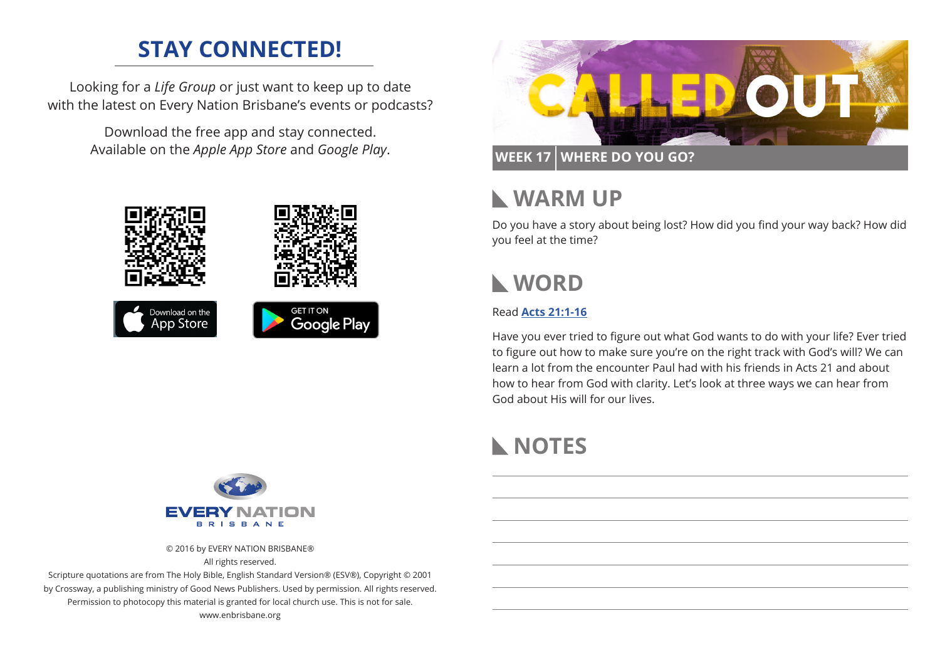# **STAY CONNECTED!**

Looking for a *Life Group* or just want to keep up to date with the latest on Every Nation Brisbane's events or podcasts?

> Download the free app and stay connected. Available on the *Apple App Store* and *Google Play*.





**WEEK 17 WHERE DO YOU GO?**

## **WARM UP**

Do you have a story about being lost? How did you find your way back? How did you feel at the time?

# **WORD**

### Read **[Acts 21:1-16](https://www.biblegateway.com/passage/?search=Acts+21%3A1-16&version=ESV)**

Have you ever tried to figure out what God wants to do with your life? Ever tried to figure out how to make sure you're on the right track with God's will? We can learn a lot from the encounter Paul had with his friends in Acts 21 and about how to hear from God with clarity. Let's look at three ways we can hear from God about His will for our lives.

# **NOTES**



© 2016 by EVERY NATION BRISBANE® All rights reserved.

Scripture quotations are from The Holy Bible, English Standard Version® (ESV®), Copyright © 2001 by Crossway, a publishing ministry of Good News Publishers. Used by permission. All rights reserved. Permission to photocopy this material is granted for local church use. This is not for sale. www.enbrisbane.org